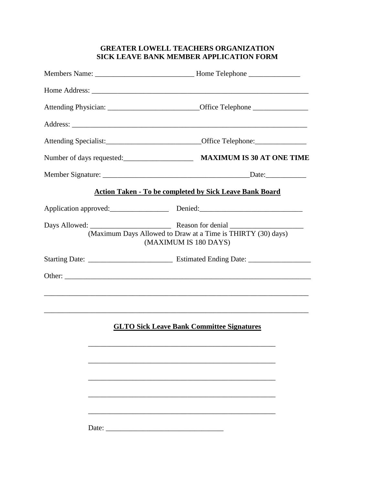## **GREATER LOWELL TEACHERS ORGANIZATION SICK LEAVE BANK MEMBER APPLICATION FORM**

| Members Name: ___________________________________Home Telephone _________________                    |
|------------------------------------------------------------------------------------------------------|
|                                                                                                      |
| Attending Physician: ________________________________Office Telephone ______________________________ |
|                                                                                                      |
|                                                                                                      |
| Number of days requested:<br><u>MAXIMUM IS 30 AT ONE TIME</u>                                        |
|                                                                                                      |
| <b>Action Taken - To be completed by Sick Leave Bank Board</b>                                       |
|                                                                                                      |
| (Maximum Days Allowed to Draw at a Time is THIRTY (30) days)<br>(MAXIMUM IS 180 DAYS)                |
|                                                                                                      |
|                                                                                                      |
|                                                                                                      |
|                                                                                                      |
| <b>GLTO Sick Leave Bank Committee Signatures</b>                                                     |
|                                                                                                      |
|                                                                                                      |
|                                                                                                      |
|                                                                                                      |
|                                                                                                      |

Date: \_\_\_\_\_\_\_\_\_\_\_\_\_\_\_\_\_\_\_\_\_\_\_\_\_\_\_\_\_\_\_\_